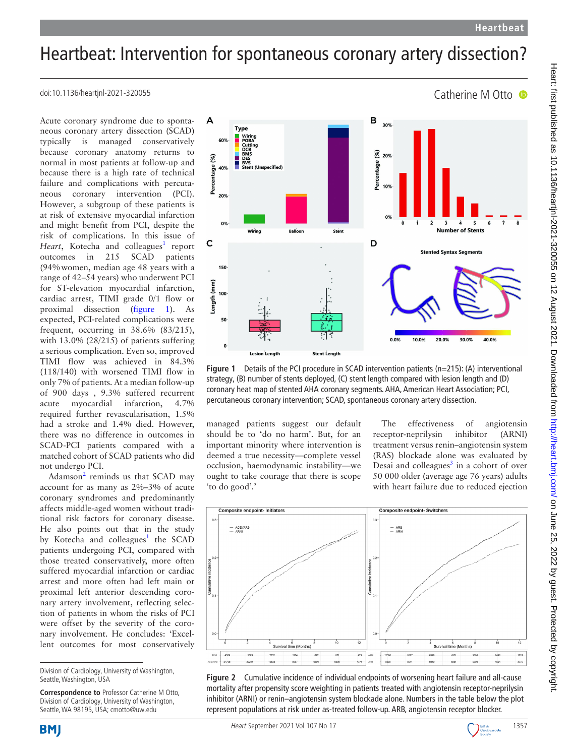Catherine M Otto

## Heartbeat: Intervention for spontaneous coronary artery dissection?

doi:10.1136/heartjnl-2021-320055

Acute coronary syndrome due to spontaneous coronary artery dissection (SCAD) typically is managed conservatively because coronary anatomy returns to normal in most patients at follow-up and because there is a high rate of technical failure and complications with percutaneous coronary intervention (PCI). However, a subgroup of these patients is at risk of extensive myocardial infarction and might benefit from PCI, despite the risk of complications. In this issue of Heart, Kotecha and colleagues<sup>1</sup> report outcomes in 215 SCAD patients (94%women, median age 48 years with a range of 42–54 years) who underwent PCI for ST-elevation myocardial infarction, cardiac arrest, TIMI grade 0/1 flow or proximal dissection ([figure](#page-0-0) 1). As expected, PCI-related complications were frequent, occurring in 38.6% (83/215), with 13.0% (28/215) of patients suffering a serious complication. Even so, improved TIMI flow was achieved in 84.3% (118/140) with worsened TIMI flow in only 7% of patients. At a median follow-up of 900 days , 9.3% suffered recurrent acute myocardial infarction, 4.7% required further revascularisation, 1.5% had a stroke and 1.4% died. However, there was no difference in outcomes in SCAD-PCI patients compared with a matched cohort of SCAD patients who did not undergo PCI.

Adamson<sup>[2](#page-2-1)</sup> reminds us that SCAD may account for as many as 2%–3% of acute coronary syndromes and predominantly affects middle-aged women without traditional risk factors for coronary disease. He also points out that in the study by Kotecha and colleagues<sup>1</sup> the SCAD patients undergoing PCI, compared with those treated conservatively, more often suffered myocardial infarction or cardiac arrest and more often had left main or proximal left anterior descending coronary artery involvement, reflecting selection of patients in whom the risks of PCI were offset by the severity of the coronary involvement. He concludes: 'Excellent outcomes for most conservatively

**Correspondence to** Professor Catherine M Otto, Division of Cardiology, University of Washington, Seattle, WA 98195, USA; cmotto@uw.edu

**BMI** 



<span id="page-0-0"></span>**Figure 1** Details of the PCI procedure in SCAD intervention patients (n=215): (A) interventional strategy, (B) number of stents deployed, (C) stent length compared with lesion length and (D) coronary heat map of stented AHA coronary segments. AHA, American Heart Association; PCI, percutaneous coronary intervention; SCAD, spontaneous coronary artery dissection.

managed patients suggest our default should be to 'do no harm'. But, for an important minority where intervention is deemed a true necessity—complete vessel occlusion, haemodynamic instability—we ought to take courage that there is scope 'to do good'.'

The effectiveness of angiotensin<br>ceptor-neprilysin inhibitor (ARNI) receptor-neprilysin inhibitor (ARNI) treatment versus renin–angiotensin system (RAS) blockade alone was evaluated by Desai and colleagues $3$  in a cohort of over 50 000 older (average age 76 years) adults with heart failure due to reduced ejection



<span id="page-0-1"></span>**Figure 2** Cumulative incidence of individual endpoints of worsening heart failure and all-cause mortality after propensity score weighting in patients treated with angiotensin receptor-neprilysin inhibitor (ARNI) or renin–angiotensin system blockade alone. Numbers in the table below the plot represent populations at risk under as-treated follow-up. ARB, angiotensin receptor blocker.



Division of Cardiology, University of Washington, Seattle, Washington, USA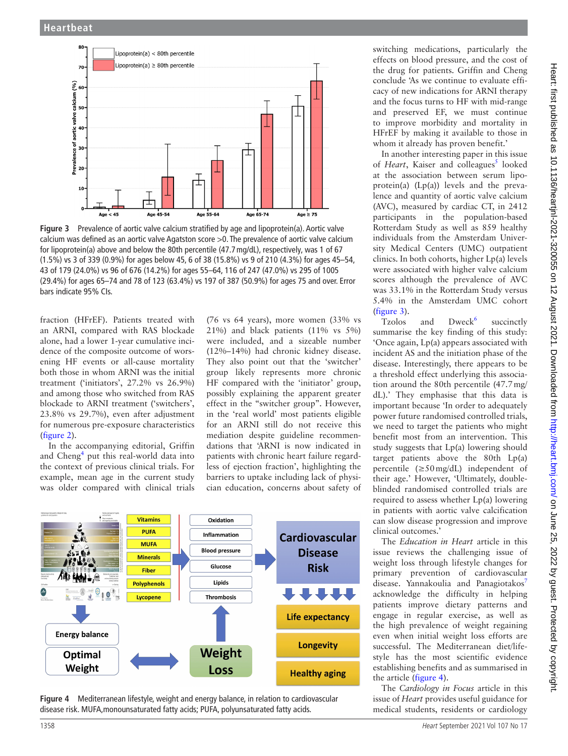

<span id="page-1-0"></span>**Figure 3** Prevalence of aortic valve calcium stratified by age and lipoprotein(a). Aortic valve calcium was defined as an aortic valve Agatston score >0. The prevalence of aortic valve calcium for lipoprotein(a) above and below the 80th percentile (47.7mg/dL), respectively, was 1 of 67 (1.5%) vs 3 of 339 (0.9%) for ages below 45, 6 of 38 (15.8%) vs 9 of 210 (4.3%) for ages 45–54, 43 of 179 (24.0%) vs 96 of 676 (14.2%) for ages 55–64, 116 of 247 (47.0%) vs 295 of 1005 (29.4%) for ages 65–74 and 78 of 123 (63.4%) vs 197 of 387 (50.9%) for ages 75 and over. Error bars indicate 95% CIs.

fraction (HFrEF). Patients treated with an ARNI, compared with RAS blockade alone, had a lower 1-year cumulative incidence of the composite outcome of worsening HF events or all-cause mortality both those in whom ARNI was the initial treatment ('initiators', 27.2% vs 26.9%) and among those who switched from RAS blockade to ARNI treatment ('switchers', 23.8% vs 29.7%), even after adjustment for numerous pre-exposure characteristics ([figure](#page-0-1) 2).

In the accompanying editorial, Griffin and Cheng<sup>[4](#page-2-3)</sup> put this real-world data into the context of previous clinical trials. For example, mean age in the current study was older compared with clinical trials

(76 vs 64 years), more women (33% vs 21%) and black patients (11% vs 5%) were included, and a sizeable number (12%–14%) had chronic kidney disease. They also point out that the 'switcher' group likely represents more chronic HF compared with the 'initiator' group, possibly explaining the apparent greater effect in the "switcher group". However, in the 'real world' most patients eligible for an ARNI still do not receive this mediation despite guideline recommendations that 'ARNI is now indicated in patients with chronic heart failure regardless of ejection fraction', highlighting the barriers to uptake including lack of physician education, concerns about safety of



<span id="page-1-1"></span>**Figure 4** Mediterranean lifestyle, weight and energy balance, in relation to cardiovascular disease risk. MUFA,monounsaturated fatty acids; PUFA, polyunsaturated fatty acids.

switching medications, particularly the effects on blood pressure, and the cost of the drug for patients. Griffin and Cheng conclude 'As we continue to evaluate efficacy of new indications for ARNI therapy and the focus turns to HF with mid-range and preserved EF, we must continue to improve morbidity and mortality in HFrEF by making it available to those in whom it already has proven benefit.'

In another interesting paper in this issue of *Heart*, Kaiser and colleagues<sup>[5](#page-2-4)</sup> looked at the association between serum lipoprotein(a) (Lp(a)) levels and the prevalence and quantity of aortic valve calcium (AVC), measured by cardiac CT, in 2412 participants in the population-based Rotterdam Study as well as 859 healthy individuals from the Amsterdam University Medical Centers (UMC) outpatient clinics. In both cohorts, higher Lp(a) levels were associated with higher valve calcium scores although the prevalence of AVC was 33.1% in the Rotterdam Study versus 5.4% in the Amsterdam UMC cohort [\(figure](#page-1-0) 3).

Tzolos and Dweck<sup>6</sup> succinctly summarise the key finding of this study: 'Once again, Lp(a) appears associated with incident AS and the initiation phase of the disease. Interestingly, there appears to be a threshold effect underlying this association around the 80th percentile (47.7mg/ dL).' They emphasise that this data is important because 'In order to adequately power future randomised controlled trials, we need to target the patients who might benefit most from an intervention. This study suggests that Lp(a) lowering should target patients above the 80th Lp(a) percentile  $(\geq 50 \text{ mg/dL})$  independent of their age.' However, 'Ultimately, doubleblinded randomised controlled trials are required to assess whether Lp(a) lowering in patients with aortic valve calcification can slow disease progression and improve clinical outcomes.'

The *Education in Heart* article in this issue reviews the challenging issue of weight loss through lifestyle changes for primary prevention of cardiovascular disease. Yannakoulia and Panagiotakos<sup>[7](#page-2-6)</sup> acknowledge the difficulty in helping patients improve dietary patterns and engage in regular exercise, as well as the high prevalence of weight regaining even when initial weight loss efforts are successful. The Mediterranean diet/lifestyle has the most scientific evidence establishing benefits and as summarised in the article [\(figure](#page-1-1) 4).

The *Cardiology in Focus* article in this issue of *Heart* provides useful guidance for medical students, residents or cardiology